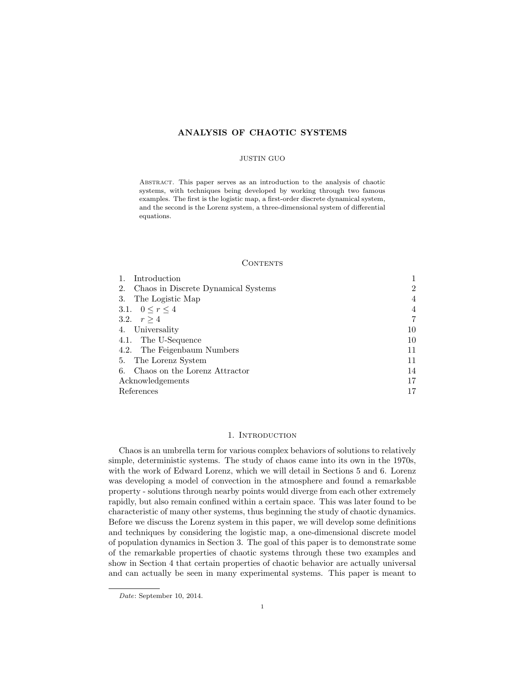# ANALYSIS OF CHAOTIC SYSTEMS

### JUSTIN GUO

Abstract. This paper serves as an introduction to the analysis of chaotic systems, with techniques being developed by working through two famous examples. The first is the logistic map, a first-order discrete dynamical system, and the second is the Lorenz system, a three-dimensional system of differential equations.

#### **CONTENTS**

| Introduction                              |                |
|-------------------------------------------|----------------|
| Chaos in Discrete Dynamical Systems<br>2. | $\overline{2}$ |
| The Logistic Map<br>3.                    | 4              |
| 3.1. $0 \le r \le 4$                      | 4              |
| 3.2. $r > 4$                              |                |
| 4. Universality                           | 10             |
| 4.1. The U-Sequence                       | 10             |
| 4.2. The Feigenbaum Numbers               | 11             |
| The Lorenz System<br>5.                   | 11             |
| Chaos on the Lorenz Attractor<br>6.       | 14             |
| Acknowledgements                          | 17             |
| References                                |                |

# 1. INTRODUCTION

Chaos is an umbrella term for various complex behaviors of solutions to relatively simple, deterministic systems. The study of chaos came into its own in the 1970s, with the work of Edward Lorenz, which we will detail in Sections 5 and 6. Lorenz was developing a model of convection in the atmosphere and found a remarkable property - solutions through nearby points would diverge from each other extremely rapidly, but also remain confined within a certain space. This was later found to be characteristic of many other systems, thus beginning the study of chaotic dynamics. Before we discuss the Lorenz system in this paper, we will develop some definitions and techniques by considering the logistic map, a one-dimensional discrete model of population dynamics in Section 3. The goal of this paper is to demonstrate some of the remarkable properties of chaotic systems through these two examples and show in Section 4 that certain properties of chaotic behavior are actually universal and can actually be seen in many experimental systems. This paper is meant to

Date: September 10, 2014.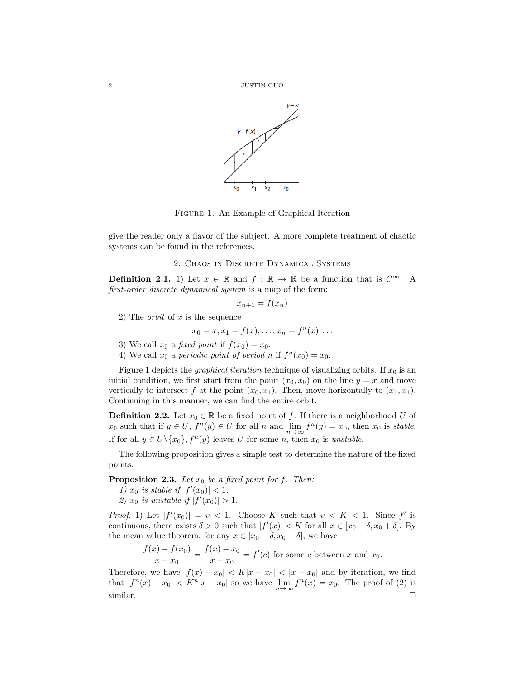

Figure 1. An Example of Graphical Iteration

give the reader only a flavor of the subject. A more complete treatment of chaotic systems can be found in the references.

## 2. Chaos in Discrete Dynamical Systems

**Definition 2.1.** 1) Let  $x \in \mathbb{R}$  and  $f : \mathbb{R} \to \mathbb{R}$  be a function that is  $C^{\infty}$ . A first-order discrete dynamical system is a map of the form:

$$
x_{n+1} = f(x_n)
$$

2) The *orbit* of x is the sequence

$$
x_0 = x, x_1 = f(x), \dots, x_n = f^n(x), \dots
$$

- 3) We call  $x_0$  a *fixed point* if  $f(x_0) = x_0$ .
- 4) We call  $x_0$  a periodic point of period n if  $f^n(x_0) = x_0$ .

Figure 1 depicts the *graphical iteration* technique of visualizing orbits. If  $x_0$  is an initial condition, we first start from the point  $(x_0, x_0)$  on the line  $y = x$  and move vertically to intersect f at the point  $(x_0, x_1)$ . Then, move horizontally to  $(x_1, x_1)$ . Continuing in this manner, we can find the entire orbit.

**Definition 2.2.** Let  $x_0 \in \mathbb{R}$  be a fixed point of f. If there is a neighborhood U of  $x_0$  such that if  $y \in U$ ,  $f^{n}(y) \in U$  for all n and  $\lim_{n \to \infty} f^{n}(y) = x_0$ , then  $x_0$  is stable. If for all  $y \in U \setminus \{x_0\}$ ,  $f^n(y)$  leaves U for some n, then  $x_0$  is unstable.

The following proposition gives a simple test to determine the nature of the fixed points.

**Proposition 2.3.** Let  $x_0$  be a fixed point for f. Then:

- 1)  $x_0$  is stable if  $|f'(x_0)| < 1$ .
- 2)  $x_0$  is unstable if  $|f'(x_0)| > 1$ .

*Proof.* 1) Let  $|f'(x_0)| = v < 1$ . Choose K such that  $v < K < 1$ . Since f' is continuous, there exists  $\delta > 0$  such that  $|f'(x)| < K$  for all  $x \in [x_0 - \delta, x_0 + \delta]$ . By the mean value theorem, for any  $x \in [x_0 - \delta, x_0 + \delta]$ , we have

> $f(x) - f(x_0)$  $\frac{x}{x-x_0} = \frac{f(x)-x_0}{x-x_0}$  $\frac{(x)-x_0}{x-x_0} = f'(c)$  for some c between x and x<sub>0</sub>.

Therefore, we have  $|f(x) - x_0| < K|x - x_0| < |x - x_0|$  and by iteration, we find that  $|f^n(x) - x_0| < K^n |x - x_0|$  so we have  $\lim_{n \to \infty} f^n(x) = x_0$ . The proof of (2) is  $\sum_{n=1}^{\infty}$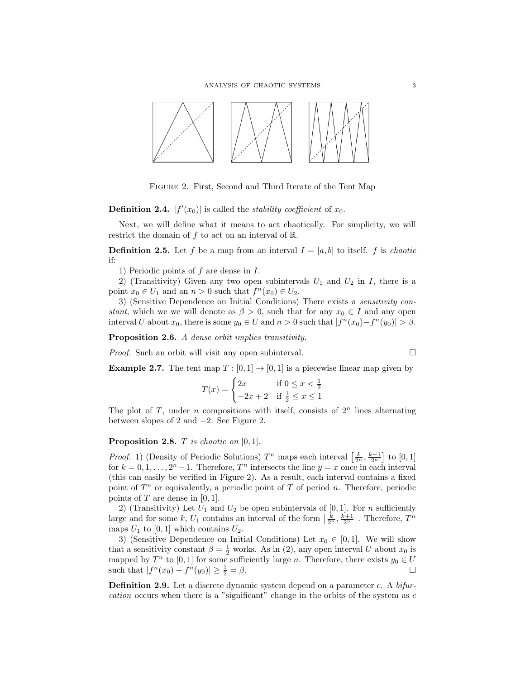

Figure 2. First, Second and Third Iterate of the Tent Map

**Definition 2.4.**  $|f'(x_0)|$  is called the *stability coefficient* of  $x_0$ .

Next, we will define what it means to act chaotically. For simplicity, we will restrict the domain of  $f$  to act on an interval of  $\mathbb{R}$ .

**Definition 2.5.** Let f be a map from an interval  $I = [a, b]$  to itself. f is *chaotic* if:

1) Periodic points of f are dense in I.

2) (Transitivity) Given any two open subintervals  $U_1$  and  $U_2$  in I, there is a point  $x_0 \in U_1$  and an  $n > 0$  such that  $f^n(x_0) \in U_2$ .

3) (Sensitive Dependence on Initial Conditions) There exists a sensitivity constant, which we we will denote as  $\beta > 0$ , such that for any  $x_0 \in I$  and any open interval U about  $x_0$ , there is some  $y_0 \in U$  and  $n > 0$  such that  $|f^n(x_0) - f^n(y_0)| > \beta$ .

Proposition 2.6. A dense orbit implies transitivity.

Proof. Such an orbit will visit any open subinterval.

$$
\Box
$$

**Example 2.7.** The tent map  $T : [0, 1] \rightarrow [0, 1]$  is a piecewise linear map given by

$$
T(x) = \begin{cases} 2x & \text{if } 0 \le x < \frac{1}{2} \\ -2x + 2 & \text{if } \frac{1}{2} \le x \le 1 \end{cases}
$$

The plot of T, under n compositions with itself, consists of  $2<sup>n</sup>$  lines alternating between slopes of 2 and −2. See Figure 2.

**Proposition 2.8.**  $T$  is chaotic on  $[0, 1]$ .

*Proof.* 1) (Density of Periodic Solutions)  $T^n$  maps each interval  $\left[\frac{k}{2^n}, \frac{k+1}{2^n}\right]$  to  $[0, 1]$ for  $k = 0, 1, \ldots, 2<sup>n</sup> - 1$ . Therefore,  $T<sup>n</sup>$  intersects the line  $y = x$  once in each interval (this can easily be verified in Figure 2). As a result, each interval contains a fixed point of  $T<sup>n</sup>$  or equivalently, a periodic point of T of period n. Therefore, periodic points of  $T$  are dense in [0, 1].

2) (Transitivity) Let  $U_1$  and  $U_2$  be open subintervals of [0, 1]. For n sufficiently large and for some k,  $U_1$  contains an interval of the form  $\left[\frac{k}{2^n}, \frac{k+1}{2^n}\right]$ . Therefore,  $T^n$ maps  $U_1$  to [0, 1] which contains  $U_2$ .

3) (Sensitive Dependence on Initial Conditions) Let  $x_0 \in [0,1]$ . We will show that a sensitivity constant  $\beta = \frac{1}{2}$  works. As in (2), any open interval U about  $x_0$  is mapped by  $T^n$  to [0, 1] for some sufficiently large n. Therefore, there exists  $y_0 \in U$ such that  $|f^n(x_0) - f^n(y_0)| \geq \frac{1}{2}$  $\frac{1}{2} = \beta$ .

Definition 2.9. Let a discrete dynamic system depend on a parameter c. A bifurcation occurs when there is a "significant" change in the orbits of the system as c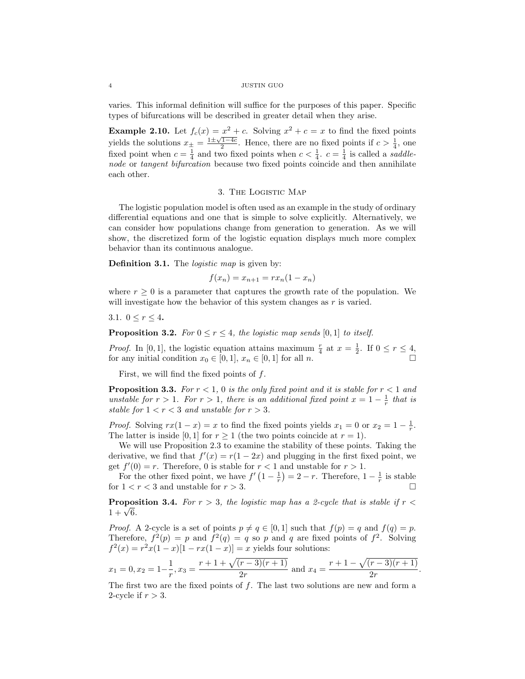varies. This informal definition will suffice for the purposes of this paper. Specific types of bifurcations will be described in greater detail when they arise.

**Example 2.10.** Let  $f_c(x) = x^2 + c$ . Solving  $x^2 + c = x$  to find the fixed points vields the solutions  $x_{\pm} = \frac{1 \pm \sqrt{1-4c}}{2}$ . Hence, there are no fixed points if  $c > \frac{1}{4}$ , one fixed point when  $c = \frac{1}{4}$  and two fixed points when  $c < \frac{1}{4}$ .  $c = \frac{1}{4}$  is called a *saddle*node or tangent bifurcation because two fixed points coincide and then annihilate each other.

## 3. The Logistic Map

The logistic population model is often used as an example in the study of ordinary differential equations and one that is simple to solve explicitly. Alternatively, we can consider how populations change from generation to generation. As we will show, the discretized form of the logistic equation displays much more complex behavior than its continuous analogue.

**Definition 3.1.** The *logistic map* is given by:

$$
f(x_n) = x_{n+1} = rx_n(1 - x_n)
$$

where  $r \geq 0$  is a parameter that captures the growth rate of the population. We will investigate how the behavior of this system changes as  $r$  is varied.

3.1.  $0 \le r \le 4$ .

**Proposition 3.2.** For  $0 \le r \le 4$ , the logistic map sends [0, 1] to itself.

*Proof.* In [0, 1], the logistic equation attains maximum  $\frac{r}{4}$  at  $x = \frac{1}{2}$ . If  $0 \le r \le 4$ , for any initial condition  $x_0 \in [0, 1], x_n \in [0, 1]$  for all n.

First, we will find the fixed points of f.

**Proposition 3.3.** For  $r < 1$ , 0 is the only fixed point and it is stable for  $r < 1$  and unstable for  $r > 1$ . For  $r > 1$ , there is an additional fixed point  $x = 1 - \frac{1}{r}$  that is stable for  $1 < r < 3$  and unstable for  $r > 3$ .

*Proof.* Solving  $rx(1-x) = x$  to find the fixed points yields  $x_1 = 0$  or  $x_2 = 1 - \frac{1}{r}$ . The latter is inside [0, 1] for  $r \ge 1$  (the two points coincide at  $r = 1$ ).

We will use Proposition 2.3 to examine the stability of these points. Taking the derivative, we find that  $f'(x) = r(1 - 2x)$  and plugging in the first fixed point, we get  $f'(0) = r$ . Therefore, 0 is stable for  $r < 1$  and unstable for  $r > 1$ .

For the other fixed point, we have  $f'(1-\frac{1}{r})=2-r$ . Therefore,  $1-\frac{1}{r}$  is stable for  $1 < r < 3$  and unstable for  $r > 3$ .

**Proposition 3.4.** For  $r > 3$ , the logistic map has a 2-cycle that is stable if  $r <$  $\begin{array}{l} \textbf{Propos} \ 1 + \sqrt{6}. \end{array}$ 

*Proof.* A 2-cycle is a set of points  $p \neq q \in [0, 1]$  such that  $f(p) = q$  and  $f(q) = p$ . Therefore,  $f^2(p) = p$  and  $f^2(q) = q$  so p and q are fixed points of  $f^2$ . Solving  $f^{2}(x) = r^{2}x(1-x)[1 - rx(1-x)] = x$  yields four solutions:

$$
x_1 = 0, x_2 = 1 - \frac{1}{r}, x_3 = \frac{r+1+\sqrt{(r-3)(r+1)}}{2r}
$$
 and  $x_4 = \frac{r+1-\sqrt{(r-3)(r+1)}}{2r}$ 

.

The first two are the fixed points of  $f$ . The last two solutions are new and form a 2-cycle if  $r > 3$ .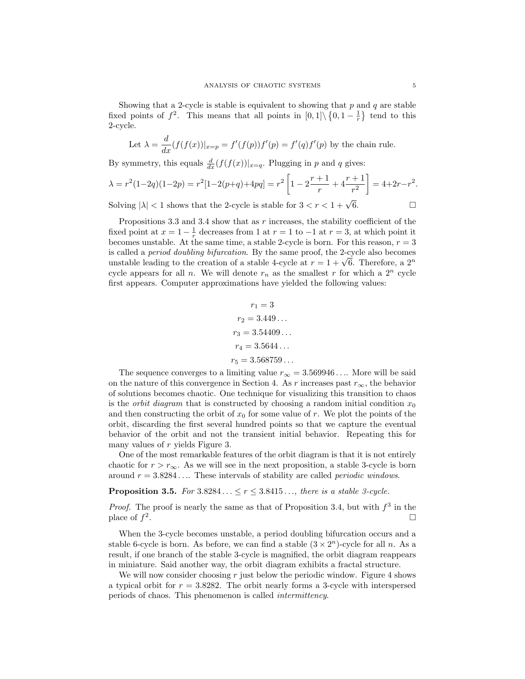Showing that a 2-cycle is stable is equivalent to showing that  $p$  and  $q$  are stable fixed points of  $f^2$ . This means that all points in  $[0,1] \setminus \{0,1-\frac{1}{r}\}\$  tend to this 2-cycle.

Let 
$$
\lambda = \frac{d}{dx}(f(f(x))|_{x=p} = f'(f(p))f'(p) = f'(q)f'(p)
$$
 by the chain rule.

By symmetry, this equals  $\frac{d}{dx}(f(f(x))|_{x=q}$ . Plugging in p and q gives:

$$
\lambda = r^2(1-2q)(1-2p) = r^2[1-2(p+q)+4pq] = r^2\left[1-2\frac{r+1}{r}+4\frac{r+1}{r^2}\right] = 4+2r-r^2.
$$

Solving  $|\lambda| < 1$  shows that the 2-cycle is stable for  $3 < r < 1 + \sqrt{6}$ .  $\overline{6}$ .  $\Box$ 

Propositions 3.3 and 3.4 show that as  $r$  increases, the stability coefficient of the fixed point at  $x = 1 - \frac{1}{r}$  decreases from 1 at  $r = 1$  to  $-1$  at  $r = 3$ , at which point it becomes unstable. At the same time, a stable 2-cycle is born. For this reason,  $r = 3$ is called a period doubling bifurcation. By the same proof, the 2-cycle also becomes is called a *period doubing bifurcation*. By the same proof, the 2-cycle also becomes<br>unstable leading to the creation of a stable 4-cycle at  $r = 1 + \sqrt{6}$ . Therefore, a  $2^n$ cycle appears for all n. We will denote  $r_n$  as the smallest r for which a  $2^n$  cycle first appears. Computer approximations have yielded the following values:

$$
r_1 = 3
$$
  
\n
$$
r_2 = 3.449...
$$
  
\n
$$
r_3 = 3.54409...
$$
  
\n
$$
r_4 = 3.5644...
$$
  
\n
$$
r_5 = 3.568759...
$$

The sequence converges to a limiting value  $r_{\infty} = 3.569946...$  More will be said on the nature of this convergence in Section 4. As r increases past  $r_{\infty}$ , the behavior of solutions becomes chaotic. One technique for visualizing this transition to chaos is the *orbit diagram* that is constructed by choosing a random initial condition  $x_0$ and then constructing the orbit of  $x_0$  for some value of r. We plot the points of the orbit, discarding the first several hundred points so that we capture the eventual behavior of the orbit and not the transient initial behavior. Repeating this for many values of r yields Figure 3.

One of the most remarkable features of the orbit diagram is that it is not entirely chaotic for  $r > r_\infty$ . As we will see in the next proposition, a stable 3-cycle is born around  $r = 3.8284...$  These intervals of stability are called *periodic windows*.

# **Proposition 3.5.** For  $3.8284... \leq r \leq 3.8415...$ , there is a stable 3-cycle.

*Proof.* The proof is nearly the same as that of Proposition 3.4, but with  $f^3$  in the place of  $f^2$ . В последните последните последните последните последните последните последните последните последните последн<br>В 1990 година от 1990 година от 1990 година от 1990 година от 1990 година от 1990 година от 1990 година от 199

When the 3-cycle becomes unstable, a period doubling bifurcation occurs and a stable 6-cycle is born. As before, we can find a stable  $(3 \times 2^n)$ -cycle for all n. As a result, if one branch of the stable 3-cycle is magnified, the orbit diagram reappears in miniature. Said another way, the orbit diagram exhibits a fractal structure.

We will now consider choosing  $r$  just below the periodic window. Figure 4 shows a typical orbit for  $r = 3.8282$ . The orbit nearly forms a 3-cycle with interspersed periods of chaos. This phenomenon is called intermittency.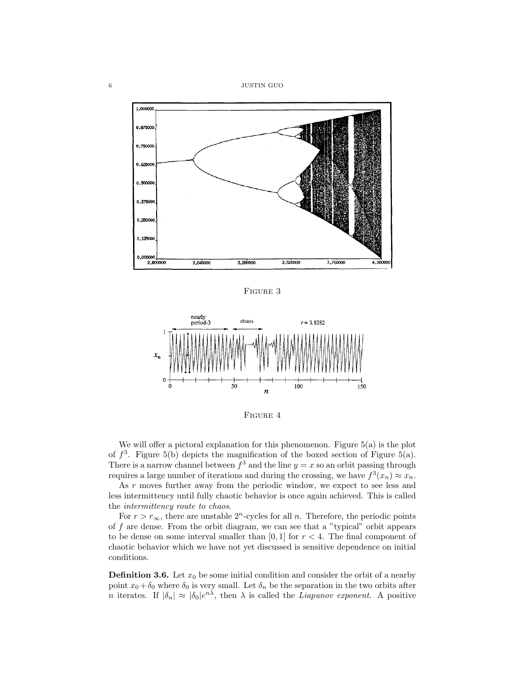6 JUSTIN GUO



Figure 3



FIGURE 4

We will offer a pictoral explanation for this phenomenon. Figure  $5(a)$  is the plot of  $f^3$ . Figure 5(b) depicts the magnification of the boxed section of Figure 5(a). There is a narrow channel between  $f^3$  and the line  $y = x$  so an orbit passing through requires a large number of iterations and during the crossing, we have  $f^3(x_n) \approx x_n$ .

As r moves further away from the periodic window, we expect to see less and less intermittency until fully chaotic behavior is once again achieved. This is called the intermittency route to chaos.

For  $r > r_{\infty}$ , there are unstable 2<sup>n</sup>-cycles for all *n*. Therefore, the periodic points of  $f$  are dense. From the orbit diagram, we can see that a "typical" orbit appears to be dense on some interval smaller than  $[0, 1]$  for  $r < 4$ . The final component of chaotic behavior which we have not yet discussed is sensitive dependence on initial conditions.

**Definition 3.6.** Let  $x_0$  be some initial condition and consider the orbit of a nearby point  $x_0 + \delta_0$  where  $\delta_0$  is very small. Let  $\delta_n$  be the separation in the two orbits after *n* iterates. If  $|\delta_n| \approx |\delta_0|e^{n\lambda}$ , then  $\lambda$  is called the *Liapunov exponent*. A positive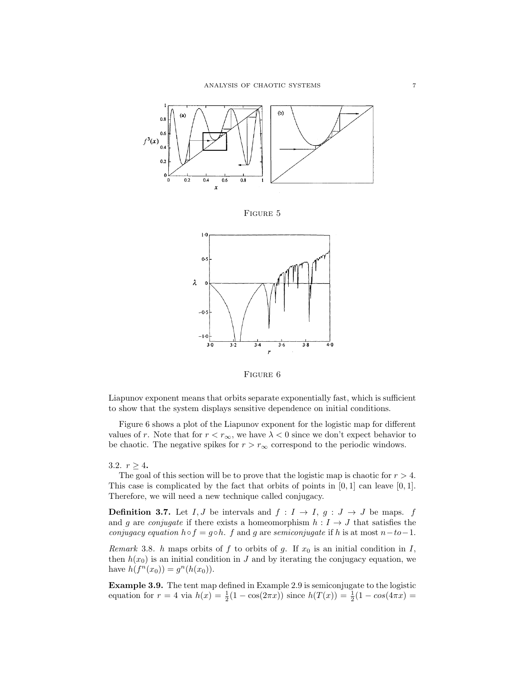

Figure 6

Liapunov exponent means that orbits separate exponentially fast, which is sufficient to show that the system displays sensitive dependence on initial conditions.

Figure 6 shows a plot of the Liapunov exponent for the logistic map for different values of r. Note that for  $r < r_\infty$ , we have  $\lambda < 0$  since we don't expect behavior to be chaotic. The negative spikes for  $r > r_{\infty}$  correspond to the periodic windows.

3.2.  $r \geq 4$ .

The goal of this section will be to prove that the logistic map is chaotic for  $r > 4$ . This case is complicated by the fact that orbits of points in  $[0, 1]$  can leave  $[0, 1]$ . Therefore, we will need a new technique called conjugacy.

**Definition 3.7.** Let I, J be intervals and  $f: I \rightarrow I$ ,  $g: J \rightarrow J$  be maps. f and g are *conjugate* if there exists a homeomorphism  $h: I \rightarrow J$  that satisfies the conjugacy equation  $h \circ f = g \circ h$ . f and g are semiconjugate if h is at most  $n-to-1$ .

Remark 3.8. h maps orbits of f to orbits of g. If  $x_0$  is an initial condition in I, then  $h(x_0)$  is an initial condition in J and by iterating the conjugacy equation, we have  $h(f^{n}(x_0)) = g^{n}(h(x_0)).$ 

Example 3.9. The tent map defined in Example 2.9 is semiconjugate to the logistic equation for  $r = 4$  via  $h(x) = \frac{1}{2}(1 - \cos(2\pi x))$  since  $h(T(x)) = \frac{1}{2}(1 - \cos(4\pi x))$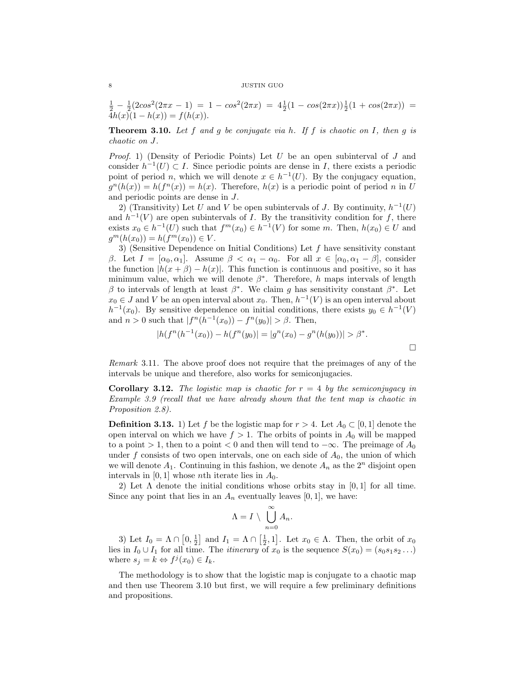8 JUSTIN GUO

$$
\frac{1}{2} - \frac{1}{2}(2\cos^2(2\pi x - 1) = 1 - \cos^2(2\pi x) = 4\frac{1}{2}(1 - \cos(2\pi x))\frac{1}{2}(1 + \cos(2\pi x)) = 4h(x)(1 - h(x)) = f(h(x)).
$$

**Theorem 3.10.** Let f and g be conjugate via h. If f is chaotic on I, then g is chaotic on J.

*Proof.* 1) (Density of Periodic Points) Let  $U$  be an open subinterval of  $J$  and consider  $h^{-1}(U) \subset I$ . Since periodic points are dense in I, there exists a periodic point of period *n*, which we will denote  $x \in h^{-1}(U)$ . By the conjugacy equation,  $g^{n}(h(x)) = h(f^{n}(x)) = h(x)$ . Therefore,  $h(x)$  is a periodic point of period n in U and periodic points are dense in J.

2) (Transitivity) Let U and V be open subintervals of J. By continuity,  $h^{-1}(U)$ and  $h^{-1}(V)$  are open subintervals of I. By the transitivity condition for f, there exists  $x_0 \in h^{-1}(U)$  such that  $f^m(x_0) \in h^{-1}(V)$  for some m. Then,  $h(x_0) \in U$  and  $g^m(h(x_0)) = h(f^m(x_0)) \in V.$ 

3) (Sensitive Dependence on Initial Conditions) Let  $f$  have sensitivity constant β. Let  $I = [\alpha_0, \alpha_1]$ . Assume  $\beta < \alpha_1 - \alpha_0$ . For all  $x \in [\alpha_0, \alpha_1 - \beta]$ , consider the function  $|h(x + \beta) - h(x)|$ . This function is continuous and positive, so it has minimum value, which we will denote  $\beta^*$ . Therefore, h maps intervals of length β to intervals of length at least  $β^*$ . We claim g has sensitivity constant  $β^*$ . Let  $x_0 \in J$  and V be an open interval about  $x_0$ . Then,  $h^{-1}(V)$  is an open interval about  $h^{-1}(x_0)$ . By sensitive dependence on initial conditions, there exists  $y_0 \in h^{-1}(V)$ and  $n > 0$  such that  $|f^{n}(h^{-1}(x_0)) - f^{n}(y_0)| > \beta$ . Then,

$$
|h(f^{n}(h^{-1}(x_0)) - h(f^{n}(y_0))| = |g^{n}(x_0) - g^{n}(h(y_0))| > \beta^*.
$$

Remark 3.11. The above proof does not require that the preimages of any of the intervals be unique and therefore, also works for semiconjugacies.

**Corollary 3.12.** The logistic map is chaotic for  $r = 4$  by the semiconjugacy in Example 3.9 (recall that we have already shown that the tent map is chaotic in Proposition 2.8).

**Definition 3.13.** 1) Let f be the logistic map for  $r > 4$ . Let  $A_0 \subset [0, 1]$  denote the open interval on which we have  $f > 1$ . The orbits of points in  $A_0$  will be mapped to a point > 1, then to a point < 0 and then will tend to  $-\infty$ . The preimage of  $A_0$ under f consists of two open intervals, one on each side of  $A_0$ , the union of which we will denote  $A_1$ . Continuing in this fashion, we denote  $A_n$  as the  $2^n$  disjoint open intervals in  $[0, 1]$  whose *nth* iterate lies in  $A_0$ .

2) Let  $\Lambda$  denote the initial conditions whose orbits stay in [0, 1] for all time. Since any point that lies in an  $A_n$  eventually leaves [0, 1], we have:

$$
\Lambda = I \setminus \bigcup_{n=0}^{\infty} A_n.
$$

3) Let  $I_0 = \Lambda \cap [0, \frac{1}{2}]$  and  $I_1 = \Lambda \cap [\frac{1}{2}, 1]$ . Let  $x_0 \in \Lambda$ . Then, the orbit of  $x_0$ lies in  $I_0 \cup I_1$  for all time. The *itinerary* of  $x_0$  is the sequence  $S(x_0) = (s_0s_1s_2 \dots)$ where  $s_j = k \Leftrightarrow f^j(x_0) \in I_k$ .

The methodology is to show that the logistic map is conjugate to a chaotic map and then use Theorem 3.10 but first, we will require a few preliminary definitions and propositions.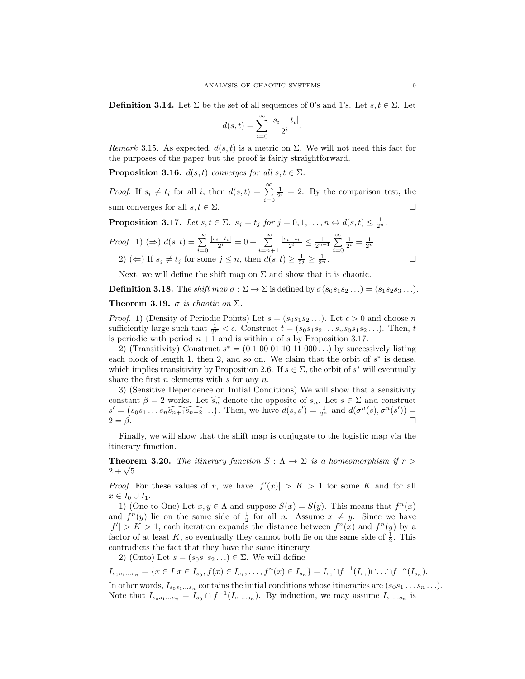**Definition 3.14.** Let  $\Sigma$  be the set of all sequences of 0's and 1's. Let  $s, t \in \Sigma$ . Let

$$
d(s,t) = \sum_{i=0}^{\infty} \frac{|s_i - t_i|}{2^i}.
$$

Remark 3.15. As expected,  $d(s, t)$  is a metric on  $\Sigma$ . We will not need this fact for the purposes of the paper but the proof is fairly straightforward.

**Proposition 3.16.**  $d(s, t)$  converges for all  $s, t \in \Sigma$ .

*Proof.* If  $s_i \neq t_i$  for all i, then  $d(s,t) = \sum_{i=0}^{\infty}$  $\frac{1}{2^i} = 2$ . By the comparison test, the sum converges for all  $s, t \in \Sigma$ .

**Proposition 3.17.** Let  $s, t \in \Sigma$ .  $s_j = t_j$  for  $j = 0, 1, ..., n \Leftrightarrow d(s, t) \leq \frac{1}{2^n}$ .

*Proof.* 1) (
$$
\Rightarrow
$$
)  $d(s,t) = \sum_{i=0}^{\infty} \frac{|s_i - t_i|}{2^i} = 0 + \sum_{i=n+1}^{\infty} \frac{|s_i - t_i|}{2^i} \le \frac{1}{2^{n+1}} \sum_{i=0}^{\infty} \frac{1}{2^i} = \frac{1}{2^n}.$   
2) ( $\Leftarrow$ ) If  $s_j \neq t_j$  for some  $j \leq n$ , then  $d(s,t) \geq \frac{1}{2^j} \geq \frac{1}{2^n}.$ 

Next, we will define the shift map on  $\Sigma$  and show that it is chaotic.

**Definition 3.18.** The shift map  $\sigma : \Sigma \to \Sigma$  is defined by  $\sigma(s_0s_1s_2\ldots)=(s_1s_2s_3\ldots).$ 

Theorem 3.19.  $\sigma$  is chaotic on  $\Sigma$ .

*Proof.* 1) (Density of Periodic Points) Let  $s = (s_0 s_1 s_2 \dots)$ . Let  $\epsilon > 0$  and choose n sufficiently large such that  $\frac{1}{2^n} < \epsilon$ . Construct  $t = (s_0 s_1 s_2 \dots s_n s_0 s_1 s_2 \dots)$ . Then, t is periodic with period  $n + 1$  and is within  $\epsilon$  of s by Proposition 3.17.

2) (Transitivity) Construct  $s^* = (0 1 00 01 10 11 000...)$  by successively listing each block of length 1, then 2, and so on. We claim that the orbit of  $s^*$  is dense, which implies transitivity by Proposition 2.6. If  $s \in \Sigma$ , the orbit of  $s^*$  will eventually share the first  $n$  elements with  $s$  for any  $n$ .

3) (Sensitive Dependence on Initial Conditions) We will show that a sensitivity constant  $\beta = 2$  works. Let  $\widehat{s_n}$  denote the opposite of  $s_n$ . Let  $s \in \Sigma$  and construct  $s' = (s_0s_1 \ldots s_n \widehat{s_{n+1}s_{n+2}} \ldots)$ . Then, we have  $d(s, s') = \frac{1}{2^n}$  and  $d(\sigma^n(s), \sigma^n(s')) =$  $2 = \beta$ .

Finally, we will show that the shift map is conjugate to the logistic map via the itinerary function.

**Theorem 3.20.** The itinerary function  $S : \Lambda \to \Sigma$  is a homeomorphism if  $r >$ **1** neore<br>2 + √5.

*Proof.* For these values of r, we have  $|f'(x)| > K > 1$  for some K and for all  $x\in I_0\cup I_1.$ 

1) (One-to-One) Let  $x, y \in \Lambda$  and suppose  $S(x) = S(y)$ . This means that  $f^{n}(x)$ and  $f^{n}(y)$  lie on the same side of  $\frac{1}{2}$  for all *n*. Assume  $x \neq y$ . Since we have  $|f'| > K > 1$ , each iteration expands the distance between  $f^{n}(x)$  and  $f^{n}(y)$  by a factor of at least K, so eventually they cannot both lie on the same side of  $\frac{1}{2}$ . This contradicts the fact that they have the same itinerary.

2) (Onto) Let  $s = (s_0s_1s_2 \ldots) \in \Sigma$ . We will define

$$
I_{s_0s_1...s_n} = \{x \in I | x \in I_{s_0}, f(x) \in I_{s_1}, \dots, f^n(x) \in I_{s_n}\} = I_{s_0} \cap f^{-1}(I_{s_1}) \cap \dots \cap f^{-n}(I_{s_n}).
$$

In other words,  $I_{s_0s_1...s_n}$  contains the initial conditions whose itineraries are  $(s_0s_1...s_n...)$ . Note that  $I_{s_0s_1...s_n} = I_{s_0} \cap f^{-1}(I_{s_1...s_n})$ . By induction, we may assume  $I_{s_1...s_n}$  is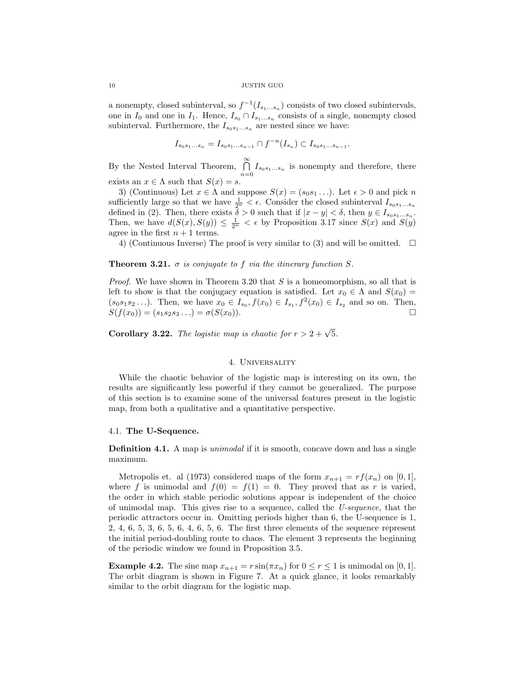#### 10 JUSTIN GUO

a nonempty, closed subinterval, so  $f^{-1}(I_{s_1...s_n})$  consists of two closed subintervals, one in  $I_0$  and one in  $I_1$ . Hence,  $I_{s_0} \cap I_{s_1...s_n}$  consists of a single, nonempty closed subinterval. Furthermore, the  $I_{s_0s_1...s_n}$  are nested since we have:

$$
I_{s_0s_1...s_n} = I_{s_0s_1...s_{n-1}} \cap f^{-n}(I_{s_n}) \subset I_{s_0s_1...s_{n-1}}.
$$

By the Nested Interval Theorem,  $\bigcap_{n=0}^{\infty} I_{s_0s_1...s_n}$  is nonempty and therefore, there exists an  $x \in \Lambda$  such that  $S(x) = s$ .

3) (Continuous) Let  $x \in \Lambda$  and suppose  $S(x) = (s_0 s_1 \ldots)$ . Let  $\epsilon > 0$  and pick n sufficiently large so that we have  $\frac{1}{2^n} < \epsilon$ . Consider the closed subinterval  $I_{s_0s_1...s_n}$ defined in (2). Then, there exists  $\delta > 0$  such that if  $|x - y| < \delta$ , then  $y \in I_{s_0 s_1 \dots s_n}$ . Then, we have  $d(S(x), S(y)) \leq \frac{1}{2^n} < \epsilon$  by Proposition 3.17 since  $S(x)$  and  $S(y)$ agree in the first  $n + 1$  terms.

4) (Continuous Inverse) The proof is very similar to (3) and will be omitted.  $\square$ 

## **Theorem 3.21.**  $\sigma$  is conjugate to f via the itinerary function S.

*Proof.* We have shown in Theorem 3.20 that  $S$  is a homeomorphism, so all that is left to show is that the conjugacy equation is satisfied. Let  $x_0 \in \Lambda$  and  $S(x_0) =$  $(s_0s_1s_2...)$ . Then, we have  $x_0 \in I_{s_0}, f(x_0) \in I_{s_1}, f^2(x_0) \in I_{s_2}$  and so on. Then,  $S(f(x_0)) = (s_1s_2s_3...)=\sigma(S(x_0)).$ 

**Corollary 3.22.** The logistic map is chaotic for  $r > 2 + \sqrt{5}$ .

# 4. Universality

While the chaotic behavior of the logistic map is interesting on its own, the results are significantly less powerful if they cannot be generalized. The purpose of this section is to examine some of the universal features present in the logistic map, from both a qualitative and a quantitative perspective.

### 4.1. The U-Sequence.

**Definition 4.1.** A map is *unimodal* if it is smooth, concave down and has a single maximum.

Metropolis et. al (1973) considered maps of the form  $x_{n+1} = rf(x_n)$  on [0, 1], where f is unimodal and  $f(0) = f(1) = 0$ . They proved that as r is varied, the order in which stable periodic solutions appear is independent of the choice of unimodal map. This gives rise to a sequence, called the U-sequence, that the periodic attractors occur in. Omitting periods higher than 6, the U-sequence is 1, 2, 4, 6, 5, 3, 6, 5, 6, 4, 6, 5, 6. The first three elements of the sequence represent the initial period-doubling route to chaos. The element 3 represents the beginning of the periodic window we found in Proposition 3.5.

**Example 4.2.** The sine map  $x_{n+1} = r \sin(\pi x_n)$  for  $0 \le r \le 1$  is unimodal on [0, 1]. The orbit diagram is shown in Figure 7. At a quick glance, it looks remarkably similar to the orbit diagram for the logistic map.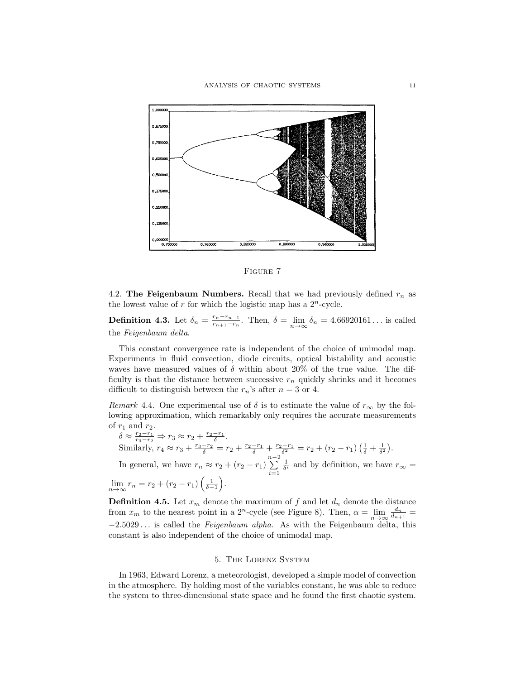

Figure 7

4.2. The Feigenbaum Numbers. Recall that we had previously defined  $r_n$  as the lowest value of r for which the logistic map has a  $2^n$ -cycle.

**Definition 4.3.** Let  $\delta_n = \frac{r_n - r_{n-1}}{r_{n+1} - r_n}$  $\frac{r_n-r_{n-1}}{r_{n+1}-r_n}$ . Then,  $\delta = \lim_{n \to \infty} \delta_n = 4.66920161...$  is called the Feigenbaum delta.

This constant convergence rate is independent of the choice of unimodal map. Experiments in fluid convection, diode circuits, optical bistability and acoustic waves have measured values of  $\delta$  within about 20% of the true value. The difficulty is that the distance between successive  $r_n$  quickly shrinks and it becomes difficult to distinguish between the  $r_n$ 's after  $n = 3$  or 4.

Remark 4.4. One experimental use of  $\delta$  is to estimate the value of  $r_{\infty}$  by the following approximation, which remarkably only requires the accurate measurements of  $r_1$  and  $r_2$ .

 $\delta \approx \frac{r_2-r_1}{r_3-r_2} \Rightarrow r_3 \approx r_2 + \frac{r_2-r_1}{\delta}.$ Similarly,  $r_4 \approx r_3 + \frac{r_3 - r_2}{\delta} = r_2 + \frac{r_2 - r_1}{\delta} + \frac{r_2 - r_1}{\delta^2} = r_2 + (r_2 - r_1) \left(\frac{1}{\delta} + \frac{1}{\delta^2}\right)$ . In general, we have  $r_n \approx r_2 + (r_2 - r_1) \sum_{n=2}^{\infty}$  $i=1$  $\frac{1}{\delta^i}$  and by definition, we have  $r_{\infty} =$  $\lim_{n \to \infty} r_n = r_2 + (r_2 - r_1) \left( \frac{1}{\delta - 1} \right).$ 

**Definition 4.5.** Let  $x_m$  denote the maximum of f and let  $d_n$  denote the distance from  $x_m$  to the nearest point in a 2<sup>n</sup>-cycle (see Figure 8). Then,  $\alpha = \lim_{n \to \infty} \frac{d_n}{d_{n+1}} =$  $-2.5029...$  is called the *Feigenbaum alpha*. As with the Feigenbaum delta, this constant is also independent of the choice of unimodal map.

### 5. The Lorenz System

In 1963, Edward Lorenz, a meteorologist, developed a simple model of convection in the atmosphere. By holding most of the variables constant, he was able to reduce the system to three-dimensional state space and he found the first chaotic system.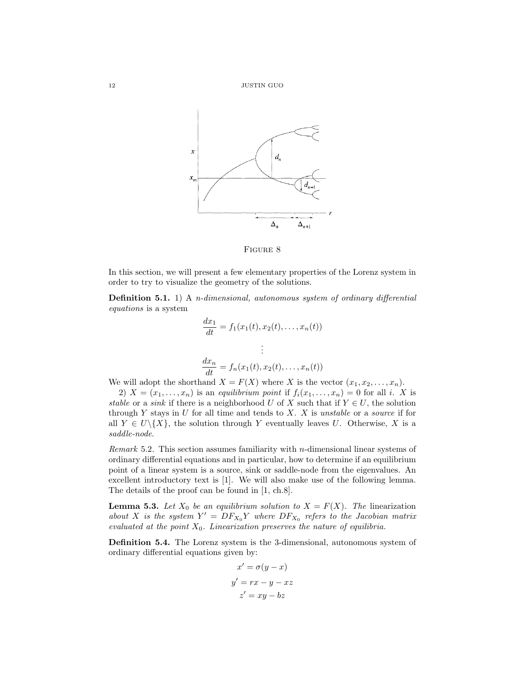

Figure 8

In this section, we will present a few elementary properties of the Lorenz system in order to try to visualize the geometry of the solutions.

Definition 5.1. 1) A n-dimensional, autonomous system of ordinary differential equations is a system

$$
\frac{dx_1}{dt} = f_1(x_1(t), x_2(t), \dots, x_n(t))
$$

$$
\vdots
$$

$$
\frac{dx_n}{dt} = f_n(x_1(t), x_2(t), \dots, x_n(t))
$$

We will adopt the shorthand  $X = F(X)$  where X is the vector  $(x_1, x_2, \ldots, x_n)$ .

2)  $X = (x_1, \ldots, x_n)$  is an equilibrium point if  $f_i(x_1, \ldots, x_n) = 0$  for all i. X is stable or a sink if there is a neighborhood U of X such that if  $Y \in U$ , the solution through Y stays in U for all time and tends to X. X is unstable or a source if for all  $Y \in U \setminus \{X\}$ , the solution through Y eventually leaves U. Otherwise, X is a saddle-node.

Remark 5.2. This section assumes familiarity with n-dimensional linear systems of ordinary differential equations and in particular, how to determine if an equilibrium point of a linear system is a source, sink or saddle-node from the eigenvalues. An excellent introductory text is [1]. We will also make use of the following lemma. The details of the proof can be found in [1, ch.8].

**Lemma 5.3.** Let  $X_0$  be an equilibrium solution to  $X = F(X)$ . The linearization about X is the system  $Y' = DF_{X_0}Y$  where  $DF_{X_0}$  refers to the Jacobian matrix evaluated at the point  $X_0$ . Linearization preserves the nature of equilibria.

Definition 5.4. The Lorenz system is the 3-dimensional, autonomous system of ordinary differential equations given by:

$$
x' = \sigma(y - x)
$$

$$
y' = rx - y - xz
$$

$$
z' = xy - bz
$$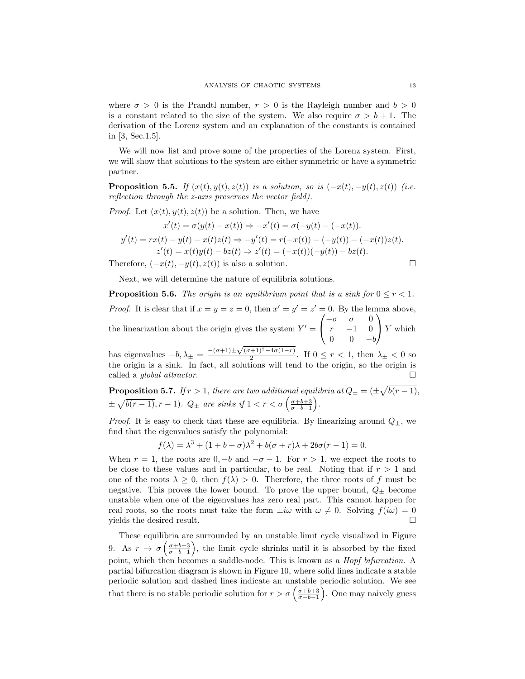where  $\sigma > 0$  is the Prandtl number,  $r > 0$  is the Rayleigh number and  $b > 0$ is a constant related to the size of the system. We also require  $\sigma > b + 1$ . The derivation of the Lorenz system and an explanation of the constants is contained in [3, Sec.1.5].

We will now list and prove some of the properties of the Lorenz system. First, we will show that solutions to the system are either symmetric or have a symmetric partner.

**Proposition 5.5.** If  $(x(t), y(t), z(t))$  is a solution, so is  $(-x(t), -y(t), z(t))$  (i.e. reflection through the z-axis preserves the vector field).

*Proof.* Let  $(x(t), y(t), z(t))$  be a solution. Then, we have

$$
x'(t) = \sigma(y(t) - x(t)) \Rightarrow -x'(t) = \sigma(-y(t) - (-x(t)).
$$
  

$$
y'(t) = rx(t) - y(t) - x(t)z(t) \Rightarrow -y'(t) = r(-x(t)) - (-y(t)) - (-x(t))z(t).
$$
  

$$
z'(t) = x(t)y(t) - bz(t) \Rightarrow z'(t) = (-x(t))(-y(t)) - bz(t).
$$

Therefore,  $(-x(t), -y(t), z(t))$  is also a solution.

Next, we will determine the nature of equilibria solutions.

**Proposition 5.6.** The origin is an equilibrium point that is a sink for  $0 \leq r < 1$ . *Proof.* It is clear that if  $x = y = z = 0$ , then  $x' = y' = z' = 0$ . By the lemma above, the linearization about the origin gives the system  $Y' =$  $\sqrt{ }$  $\mathcal{L}$  $-\sigma$   $\sigma$  0  $r = -1 = 0$  $0 \t -b$  $\setminus$  $\big| Y$  which has eigenvalues  $-b, \lambda_{\pm} = \frac{-(\sigma+1)\pm\sqrt{(\sigma+1)^2-4\sigma(1-r)}}{2}$ 

 $\frac{1}{2}$   $\frac{1}{2}$   $\frac{1}{2}$   $\frac{1}{2}$   $\frac{1}{2}$   $\frac{1}{2}$   $\frac{1}{2}$   $\frac{1}{2}$   $\frac{1}{2}$   $\frac{1}{2}$   $\frac{1}{2}$   $\frac{1}{2}$   $\frac{1}{2}$   $\frac{1}{2}$   $\frac{1}{2}$   $\frac{1}{2}$   $\frac{1}{2}$   $\frac{1}{2}$   $\frac{1}{2}$   $\frac{1}{2}$   $\frac{1}{2}$   $\frac{1}{2}$  the origin is a sink. In fact, all solutions will tend to the origin, so the origin is called a global attractor.

**Proposition 5.7.** If  $r > 1$ , there are two additional equilibria at  $Q_{\pm} = (\pm \sqrt{b(r-1)},$  $\pm \sqrt{b(r-1)}, r-1$ ).  $Q_{\pm}$  are sinks if  $1 < r < \sigma \left( \frac{\sigma+b+3}{\sigma-b-1} \right)$ .

*Proof.* It is easy to check that these are equilibria. By linearizing around  $Q_{\pm}$ , we find that the eigenvalues satisfy the polynomial:

$$
f(\lambda) = \lambda^3 + (1 + b + \sigma)\lambda^2 + b(\sigma + r)\lambda + 2b\sigma(r - 1) = 0.
$$

When  $r = 1$ , the roots are  $0, -b$  and  $-\sigma - 1$ . For  $r > 1$ , we expect the roots to be close to these values and in particular, to be real. Noting that if  $r > 1$  and one of the roots  $\lambda \geq 0$ , then  $f(\lambda) > 0$ . Therefore, the three roots of f must be negative. This proves the lower bound. To prove the upper bound,  $Q_{\pm}$  become unstable when one of the eigenvalues has zero real part. This cannot happen for real roots, so the roots must take the form  $\pm i\omega$  with  $\omega \neq 0$ . Solving  $f(i\omega) = 0$ yields the desired result.

These equilibria are surrounded by an unstable limit cycle visualized in Figure 9. As  $r \to \sigma \left( \frac{\sigma+b+3}{\sigma-b-1} \right)$ , the limit cycle shrinks until it is absorbed by the fixed point, which then becomes a saddle-node. This is known as a Hopf bifurcation. A partial bifurcation diagram is shown in Figure 10, where solid lines indicate a stable periodic solution and dashed lines indicate an unstable periodic solution. We see that there is no stable periodic solution for  $r > \sigma\left(\frac{\sigma+b+3}{\sigma-b-1}\right)$ . One may naively guess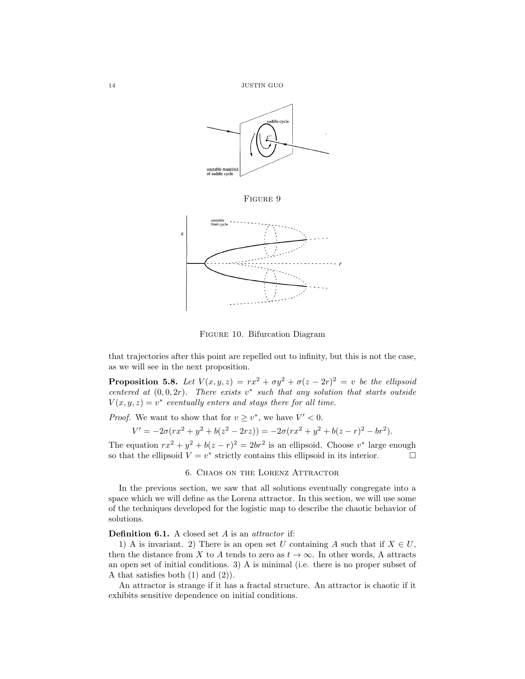

Figure 10. Bifurcation Diagram

that trajectories after this point are repelled out to infinity, but this is not the case, as we will see in the next proposition.

**Proposition 5.8.** Let  $V(x, y, z) = rx^2 + \sigma y^2 + \sigma(z - 2r)^2 = v$  be the ellipsoid centered at  $(0,0,2r)$ . There exists v<sup>\*</sup> such that any solution that starts outside  $V(x, y, z) = v^*$  eventually enters and stays there for all time.

*Proof.* We want to show that for  $v \geq v^*$ , we have  $V' < 0$ .

$$
V' = -2\sigma(rx^2 + y^2 + b(z^2 - 2rz)) = -2\sigma(rx^2 + y^2 + b(z - r)^2 - br^2).
$$

The equation  $rx^2 + y^2 + b(z - r)^2 = 2br^2$  is an ellipsoid. Choose  $v^*$  large enough so that the ellipsoid  $V = v^*$  strictly contains this ellipsoid in its interior.

### 6. Chaos on the Lorenz Attractor

In the previous section, we saw that all solutions eventually congregate into a space which we will define as the Lorenz attractor. In this section, we will use some of the techniques developed for the logistic map to describe the chaotic behavior of solutions.

Definition 6.1. A closed set A is an *attractor* if:

1) A is invariant. 2) There is an open set U containing A such that if  $X \in U$ , then the distance from X to A tends to zero as  $t \to \infty$ . In other words, A attracts an open set of initial conditions. 3) A is minimal (i.e. there is no proper subset of A that satisfies both  $(1)$  and  $(2)$ ).

An attractor is strange if it has a fractal structure. An attractor is chaotic if it exhibits sensitive dependence on initial conditions.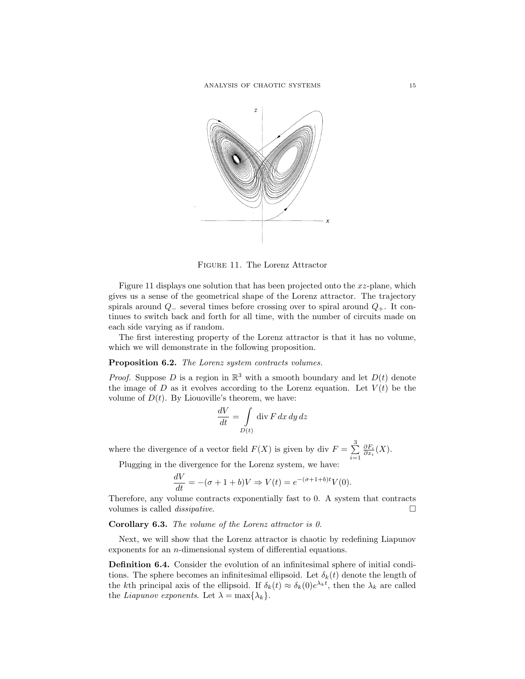

Figure 11. The Lorenz Attractor

Figure 11 displays one solution that has been projected onto the xz-plane, which gives us a sense of the geometrical shape of the Lorenz attractor. The trajectory spirals around  $Q_-\$  several times before crossing over to spiral around  $Q_+\$ . It continues to switch back and forth for all time, with the number of circuits made on each side varying as if random.

The first interesting property of the Lorenz attractor is that it has no volume, which we will demonstrate in the following proposition.

# Proposition 6.2. The Lorenz system contracts volumes.

*Proof.* Suppose D is a region in  $\mathbb{R}^3$  with a smooth boundary and let  $D(t)$  denote the image of D as it evolves according to the Lorenz equation. Let  $V(t)$  be the volume of  $D(t)$ . By Liouoville's theorem, we have:

$$
\frac{dV}{dt} = \int\limits_{D(t)} \operatorname{div} F \, dx \, dy \, dz
$$

where the divergence of a vector field  $F(X)$  is given by div  $F = \sum^{3}$  $i=1$  $\frac{\partial F_i}{\partial x_i}(X)$ .

Plugging in the divergence for the Lorenz system, we have:

$$
\frac{dV}{dt} = -(\sigma + 1 + b)V \Rightarrow V(t) = e^{-(\sigma + 1 + b)t}V(0).
$$

Therefore, any volume contracts exponentially fast to 0. A system that contracts volumes is called *dissipative*.

## Corollary 6.3. The volume of the Lorenz attractor is 0.

Next, we will show that the Lorenz attractor is chaotic by redefining Liapunov exponents for an n-dimensional system of differential equations.

Definition 6.4. Consider the evolution of an infinitesimal sphere of initial conditions. The sphere becomes an infinitesimal ellipsoid. Let  $\delta_k(t)$  denote the length of the kth principal axis of the ellipsoid. If  $\delta_k(t) \approx \delta_k(0) e^{\lambda_k t}$ , then the  $\lambda_k$  are called the *Liapunov exponents*. Let  $\lambda = \max{\lambda_k}$ .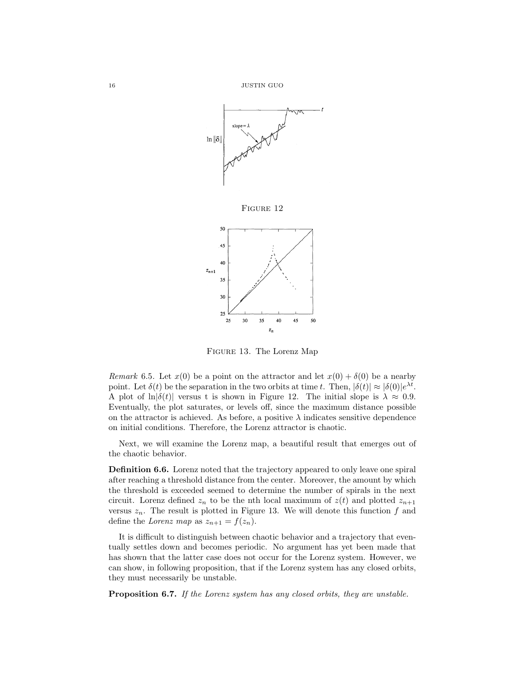

Figure 13. The Lorenz Map

Remark 6.5. Let  $x(0)$  be a point on the attractor and let  $x(0) + \delta(0)$  be a nearby point. Let  $\delta(t)$  be the separation in the two orbits at time t. Then,  $|\delta(t)| \approx |\delta(0)|e^{\lambda t}$ . A plot of ln $|\delta(t)|$  versus t is shown in Figure 12. The initial slope is  $\lambda \approx 0.9$ . Eventually, the plot saturates, or levels off, since the maximum distance possible on the attractor is achieved. As before, a positive  $\lambda$  indicates sensitive dependence on initial conditions. Therefore, the Lorenz attractor is chaotic.

Next, we will examine the Lorenz map, a beautiful result that emerges out of the chaotic behavior.

Definition 6.6. Lorenz noted that the trajectory appeared to only leave one spiral after reaching a threshold distance from the center. Moreover, the amount by which the threshold is exceeded seemed to determine the number of spirals in the next circuit. Lorenz defined  $z_n$  to be the nth local maximum of  $z(t)$  and plotted  $z_{n+1}$ versus  $z_n$ . The result is plotted in Figure 13. We will denote this function f and define the Lorenz map as  $z_{n+1} = f(z_n)$ .

It is difficult to distinguish between chaotic behavior and a trajectory that eventually settles down and becomes periodic. No argument has yet been made that has shown that the latter case does not occur for the Lorenz system. However, we can show, in following proposition, that if the Lorenz system has any closed orbits, they must necessarily be unstable.

Proposition 6.7. If the Lorenz system has any closed orbits, they are unstable.